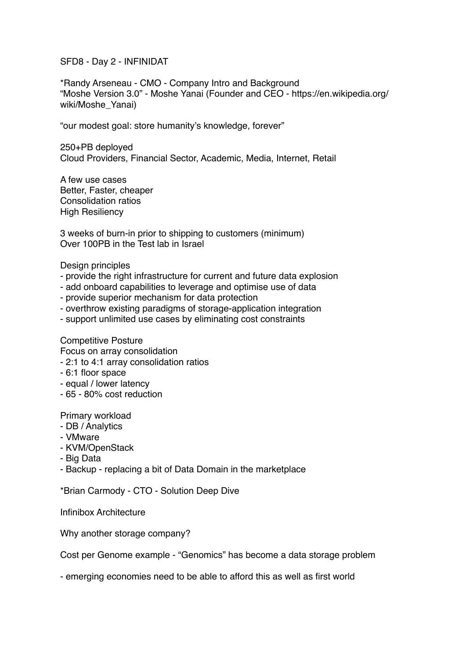SFD8 - Day 2 - INFINIDAT

\*Randy Arseneau - CMO - Company Intro and Background "Moshe Version 3.0" - Moshe Yanai (Founder and CEO - https://en.wikipedia.org/ wiki/Moshe\_Yanai)

"our modest goal: store humanity's knowledge, forever"

250+PB deployed Cloud Providers, Financial Sector, Academic, Media, Internet, Retail

A few use cases Better, Faster, cheaper Consolidation ratios High Resiliency

3 weeks of burn-in prior to shipping to customers (minimum) Over 100PB in the Test lab in Israel

Design principles

- provide the right infrastructure for current and future data explosion
- add onboard capabilities to leverage and optimise use of data
- provide superior mechanism for data protection
- overthrow existing paradigms of storage-application integration
- support unlimited use cases by eliminating cost constraints

Competitive Posture

Focus on array consolidation

- 2:1 to 4:1 array consolidation ratios
- 6:1 floor space
- equal / lower latency
- 65 80% cost reduction

Primary workload

- DB / Analytics
- VMware
- KVM/OpenStack
- Big Data
- Backup replacing a bit of Data Domain in the marketplace

\*Brian Carmody - CTO - Solution Deep Dive

Infinibox Architecture

Why another storage company?

Cost per Genome example - "Genomics" has become a data storage problem

- emerging economies need to be able to afford this as well as first world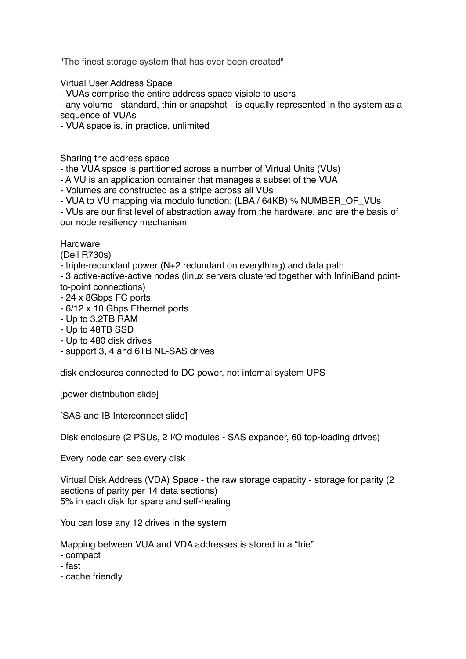"The finest storage system that has ever been created"

Virtual User Address Space

- VUAs comprise the entire address space visible to users

- any volume - standard, thin or snapshot - is equally represented in the system as a sequence of VUAs

- VUA space is, in practice, unlimited

Sharing the address space

- the VUA space is partitioned across a number of Virtual Units (VUs)

- A VU is an application container that manages a subset of the VUA

- Volumes are constructed as a stripe across all VUs

- VUA to VU mapping via modulo function: (LBA / 64KB) % NUMBER\_OF\_VUs

- VUs are our first level of abstraction away from the hardware, and are the basis of our node resiliency mechanism

Hardware

(Dell R730s)

- triple-redundant power (N+2 redundant on everything) and data path

- 3 active-active-active nodes (linux servers clustered together with InfiniBand pointto-point connections)

- 24 x 8Gbps FC ports
- 6/12 x 10 Gbps Ethernet ports
- Up to 3.2TB RAM
- Up to 48TB SSD
- Up to 480 disk drives
- support 3, 4 and 6TB NL-SAS drives

disk enclosures connected to DC power, not internal system UPS

[power distribution slide]

[SAS and IB Interconnect slide]

Disk enclosure (2 PSUs, 2 I/O modules - SAS expander, 60 top-loading drives)

Every node can see every disk

Virtual Disk Address (VDA) Space - the raw storage capacity - storage for parity (2 sections of parity per 14 data sections) 5% in each disk for spare and self-healing

You can lose any 12 drives in the system

Mapping between VUA and VDA addresses is stored in a "trie"

- compact
- fast
- cache friendly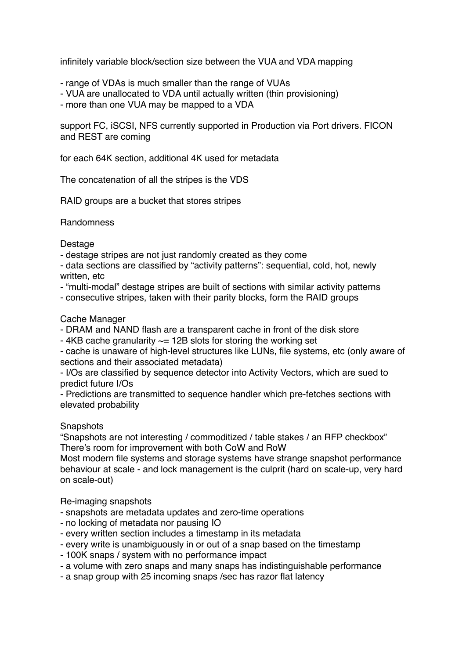infinitely variable block/section size between the VUA and VDA mapping

- range of VDAs is much smaller than the range of VUAs
- VUA are unallocated to VDA until actually written (thin provisioning)
- more than one VUA may be mapped to a VDA

support FC, iSCSI, NFS currently supported in Production via Port drivers. FICON and REST are coming

for each 64K section, additional 4K used for metadata

The concatenation of all the stripes is the VDS

RAID groups are a bucket that stores stripes

Randomness

Destage

- destage stripes are not just randomly created as they come

- data sections are classified by "activity patterns": sequential, cold, hot, newly written, etc

- "multi-modal" destage stripes are built of sections with similar activity patterns
- consecutive stripes, taken with their parity blocks, form the RAID groups

## Cache Manager

- DRAM and NAND flash are a transparent cache in front of the disk store

- 4KB cache granularity  $\sim$  12B slots for storing the working set

- cache is unaware of high-level structures like LUNs, file systems, etc (only aware of sections and their associated metadata)

- I/Os are classified by sequence detector into Activity Vectors, which are sued to predict future I/Os

- Predictions are transmitted to sequence handler which pre-fetches sections with elevated probability

## **Snapshots**

"Snapshots are not interesting / commoditized / table stakes / an RFP checkbox" There's room for improvement with both CoW and RoW

Most modern file systems and storage systems have strange snapshot performance behaviour at scale - and lock management is the culprit (hard on scale-up, very hard on scale-out)

Re-imaging snapshots

- snapshots are metadata updates and zero-time operations
- no locking of metadata nor pausing IO
- every written section includes a timestamp in its metadata
- every write is unambiguously in or out of a snap based on the timestamp
- 100K snaps / system with no performance impact
- a volume with zero snaps and many snaps has indistinguishable performance
- a snap group with 25 incoming snaps /sec has razor flat latency